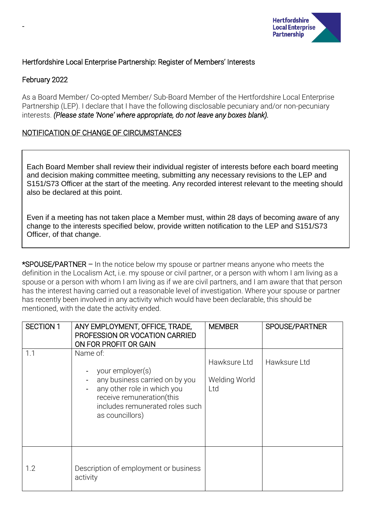

## Hertfordshire Local Enterprise Partnership: Register of Members' Interests

## February 2022

-

As a Board Member/ Co-opted Member/ Sub-Board Member of the Hertfordshire Local Enterprise Partnership (LEP). I declare that I have the following disclosable pecuniary and/or non-pecuniary interests. *(Please state 'None' where appropriate, do not leave any boxes blank).*

## NOTIFICATION OF CHANGE OF CIRCUMSTANCES

Each Board Member shall review their individual register of interests before each board meeting and decision making committee meeting, submitting any necessary revisions to the LEP and S151/S73 Officer at the start of the meeting. Any recorded interest relevant to the meeting should also be declared at this point.

Even if a meeting has not taken place a Member must, within 28 days of becoming aware of any change to the interests specified below, provide written notification to the LEP and S151/S73 Officer, of that change.

\*SPOUSE/PARTNER – In the notice below my spouse or partner means anyone who meets the definition in the Localism Act, i.e. my spouse or civil partner, or a person with whom I am living as a spouse or a person with whom I am living as if we are civil partners, and I am aware that that person has the interest having carried out a reasonable level of investigation. Where your spouse or partner has recently been involved in any activity which would have been declarable, this should be mentioned, with the date the activity ended.

| <b>SECTION 1</b> | ANY EMPLOYMENT, OFFICE, TRADE,<br>PROFESSION OR VOCATION CARRIED<br>ON FOR PROFIT OR GAIN                                                                                        | <b>MEMBER</b>                        | SPOUSE/PARTNER |
|------------------|----------------------------------------------------------------------------------------------------------------------------------------------------------------------------------|--------------------------------------|----------------|
| 1.1              | Name of:<br>your employer(s)<br>any business carried on by you<br>any other role in which you<br>receive remuneration(this<br>includes remunerated roles such<br>as councillors) | Hawksure Ltd<br>Welding World<br>Ltd | Hawksure Ltd   |
| 1.2              | Description of employment or business<br>activity                                                                                                                                |                                      |                |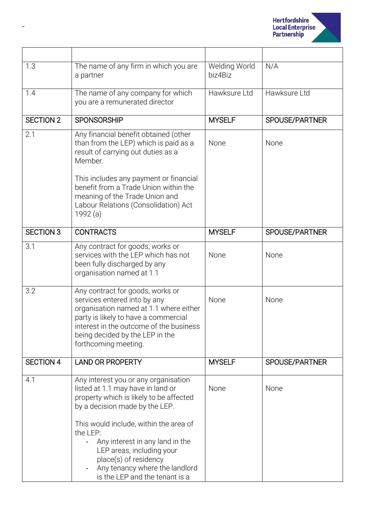

| 1.3              | The name of any firm in which you are<br>a partner                                                                                                                                                                                                                                                                                                                        | Welding World<br>biz4Biz | N/A            |
|------------------|---------------------------------------------------------------------------------------------------------------------------------------------------------------------------------------------------------------------------------------------------------------------------------------------------------------------------------------------------------------------------|--------------------------|----------------|
| 1.4              | The name of any company for which<br>you are a remunerated director                                                                                                                                                                                                                                                                                                       | Hawksure Ltd             | Hawksure Ltd   |
| <b>SECTION 2</b> | <b>SPONSORSHIP</b>                                                                                                                                                                                                                                                                                                                                                        | <b>MYSELF</b>            | SPOUSE/PARTNER |
| 2.1              | Any financial benefit obtained (other<br>than from the LEP) which is paid as a<br>result of carrying out duties as a<br>Member.<br>This includes any payment or financial<br>benefit from a Trade Union within the<br>meaning of the Trade Union and<br>Labour Relations (Consolidation) Act<br>1992 (a)                                                                  | None                     | None           |
| <b>SECTION 3</b> | <b>CONTRACTS</b>                                                                                                                                                                                                                                                                                                                                                          | <b>MYSELF</b>            | SPOUSE/PARTNER |
| 3.1              | Any contract for goods, works or<br>services with the LEP which has not<br>been fully discharged by any<br>organisation named at 1.1                                                                                                                                                                                                                                      | None                     | None           |
| 3.2              | Any contract for goods, works or<br>services entered into by any<br>organisation named at 1.1 where either<br>party is likely to have a commercial<br>interest in the outcome of the business<br>being decided by the LEP in the<br>forthcoming meeting.                                                                                                                  | None                     | None           |
| <b>SECTION 4</b> | <b>LAND OR PROPERTY</b>                                                                                                                                                                                                                                                                                                                                                   | <b>MYSELF</b>            | SPOUSE/PARTNER |
| 4.1              | Any interest you or any organisation<br>listed at 1.1 may have in land or<br>property which is likely to be affected<br>by a decision made by the LEP.<br>This would include, within the area of<br>the LEP:<br>Any interest in any land in the<br>LEP areas, including your<br>place(s) of residency<br>Any tenancy where the landlord<br>is the LEP and the tenant is a | None                     | None           |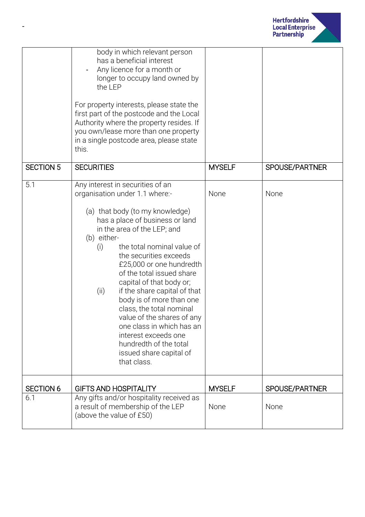

|                  | body in which relevant person<br>has a beneficial interest<br>Any licence for a month or<br>longer to occupy land owned by<br>the LEP                                                                                                                                                                                                                                                                                                                                                                                                                                                             |               |                       |
|------------------|---------------------------------------------------------------------------------------------------------------------------------------------------------------------------------------------------------------------------------------------------------------------------------------------------------------------------------------------------------------------------------------------------------------------------------------------------------------------------------------------------------------------------------------------------------------------------------------------------|---------------|-----------------------|
|                  | For property interests, please state the<br>first part of the postcode and the Local<br>Authority where the property resides. If<br>you own/lease more than one property<br>in a single postcode area, please state<br>this.                                                                                                                                                                                                                                                                                                                                                                      |               |                       |
| <b>SECTION 5</b> | <b>SECURITIES</b>                                                                                                                                                                                                                                                                                                                                                                                                                                                                                                                                                                                 | <b>MYSELF</b> | <b>SPOUSE/PARTNER</b> |
| 5.1              | Any interest in securities of an<br>organisation under 1.1 where:-<br>(a) that body (to my knowledge)<br>has a place of business or land<br>in the area of the LEP; and<br>(b) either-<br>the total nominal value of<br>(i)<br>the securities exceeds<br>£25,000 or one hundredth<br>of the total issued share<br>capital of that body or;<br>if the share capital of that<br>(ii)<br>body is of more than one<br>class, the total nominal<br>value of the shares of any<br>one class in which has an<br>interest exceeds one<br>hundredth of the total<br>issued share capital of<br>that class. | None          | None                  |
| <b>SECTION 6</b> | <b>GIFTS AND HOSPITALITY</b>                                                                                                                                                                                                                                                                                                                                                                                                                                                                                                                                                                      | <b>MYSELF</b> | SPOUSE/PARTNER        |
| 6.1              | Any gifts and/or hospitality received as<br>a result of membership of the LEP<br>(above the value of £50)                                                                                                                                                                                                                                                                                                                                                                                                                                                                                         | None          | None                  |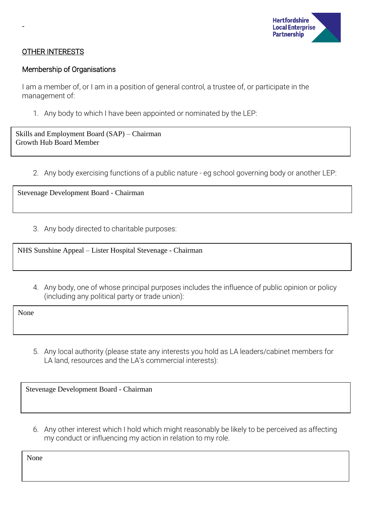

### OTHER INTERESTS

-

#### Membership of Organisations

I am a member of, or I am in a position of general control, a trustee of, or participate in the management of:

1. Any body to which I have been appointed or nominated by the LEP:

Skills and Employment Board (SAP) – Chairman Growth Hub Board Member

2. Any body exercising functions of a public nature - eg school governing body or another LEP:

Stevenage Development Board - Chairman

3. Any body directed to charitable purposes:

NHS Sunshine Appeal – Lister Hospital Stevenage - Chairman

4. Any body, one of whose principal purposes includes the influence of public opinion or policy (including any political party or trade union):

None

5. Any local authority (please state any interests you hold as LA leaders/cabinet members for LA land, resources and the LA's commercial interests):

Stevenage Development Board - Chairman

6. Any other interest which I hold which might reasonably be likely to be perceived as affecting my conduct or influencing my action in relation to my role.

None